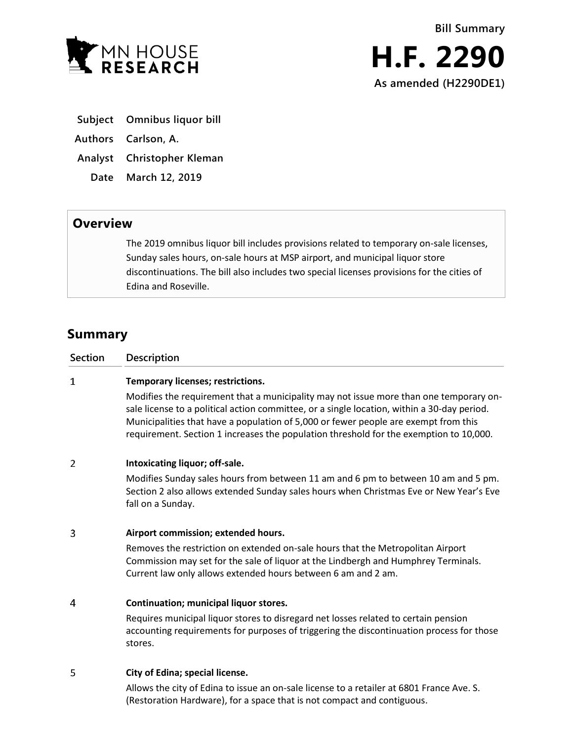

- **Subject Omnibus liquor bill**
- **Authors Carlson, A.**
- **Analyst Christopher Kleman**
	- **Date March 12, 2019**

## **Overview**

The 2019 omnibus liquor bill includes provisions related to temporary on-sale licenses, Sunday sales hours, on-sale hours at MSP airport, and municipal liquor store discontinuations. The bill also includes two special licenses provisions for the cities of Edina and Roseville.

## **Summary**

| <b>Section</b> | Description                                                                                                                                                                                                                                                                                                                                                            |
|----------------|------------------------------------------------------------------------------------------------------------------------------------------------------------------------------------------------------------------------------------------------------------------------------------------------------------------------------------------------------------------------|
| $\mathbf{1}$   | Temporary licenses; restrictions.                                                                                                                                                                                                                                                                                                                                      |
|                | Modifies the requirement that a municipality may not issue more than one temporary on-<br>sale license to a political action committee, or a single location, within a 30-day period.<br>Municipalities that have a population of 5,000 or fewer people are exempt from this<br>requirement. Section 1 increases the population threshold for the exemption to 10,000. |
| 2              | Intoxicating liquor; off-sale.                                                                                                                                                                                                                                                                                                                                         |
|                | Modifies Sunday sales hours from between 11 am and 6 pm to between 10 am and 5 pm.<br>Section 2 also allows extended Sunday sales hours when Christmas Eve or New Year's Eve<br>fall on a Sunday.                                                                                                                                                                      |
| 3              | Airport commission; extended hours.                                                                                                                                                                                                                                                                                                                                    |
|                | Removes the restriction on extended on-sale hours that the Metropolitan Airport<br>Commission may set for the sale of liquor at the Lindbergh and Humphrey Terminals.<br>Current law only allows extended hours between 6 am and 2 am.                                                                                                                                 |
| 4              | Continuation; municipal liquor stores.                                                                                                                                                                                                                                                                                                                                 |
|                | Requires municipal liquor stores to disregard net losses related to certain pension<br>accounting requirements for purposes of triggering the discontinuation process for those<br>stores.                                                                                                                                                                             |
| 5              | City of Edina; special license.                                                                                                                                                                                                                                                                                                                                        |
|                | Allows the city of Edina to issue an on-sale license to a retailer at 6801 France Ave. S.<br>(Restoration Hardware), for a space that is not compact and contiguous.                                                                                                                                                                                                   |